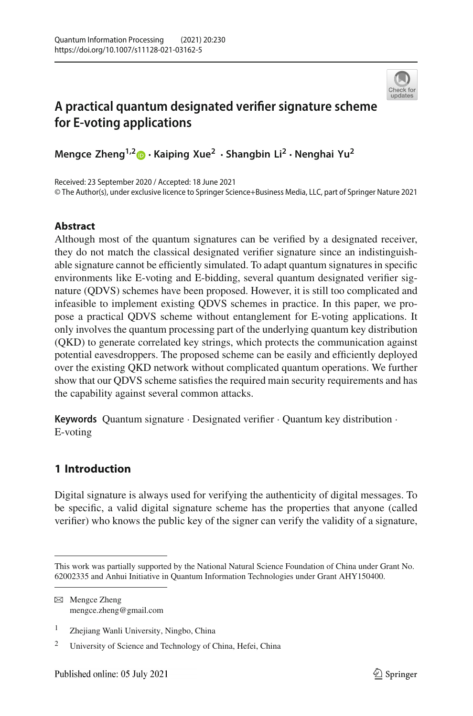

# **A practical quantum designated verifier signature scheme for E-voting applications**

**Mengce Zheng1,[2](http://orcid.org/0000-0003-0777-4175) · Kaiping Xue2 · Shangbin Li2 · Nenghai Yu<sup>2</sup>**

Received: 23 September 2020 / Accepted: 18 June 2021 © The Author(s), under exclusive licence to Springer Science+Business Media, LLC, part of Springer Nature 2021

# **Abstract**

Although most of the quantum signatures can be verified by a designated receiver, they do not match the classical designated verifier signature since an indistinguishable signature cannot be efficiently simulated. To adapt quantum signatures in specific environments like E-voting and E-bidding, several quantum designated verifier signature (QDVS) schemes have been proposed. However, it is still too complicated and infeasible to implement existing QDVS schemes in practice. In this paper, we propose a practical QDVS scheme without entanglement for E-voting applications. It only involves the quantum processing part of the underlying quantum key distribution (QKD) to generate correlated key strings, which protects the communication against potential eavesdroppers. The proposed scheme can be easily and efficiently deployed over the existing QKD network without complicated quantum operations. We further show that our QDVS scheme satisfies the required main security requirements and has the capability against several common attacks.

**Keywords** Quantum signature · Designated verifier · Quantum key distribution · E-voting

# **1 Introduction**

Digital signature is always used for verifying the authenticity of digital messages. To be specific, a valid digital signature scheme has the properties that anyone (called verifier) who knows the public key of the signer can verify the validity of a signature,

This work was partially supported by the National Natural Science Foundation of China under Grant No. 62002335 and Anhui Initiative in Quantum Information Technologies under Grant AHY150400.

B Mengce Zheng mengce.zheng@gmail.com

<sup>1</sup> Zhejiang Wanli University, Ningbo, China

<sup>2</sup> University of Science and Technology of China, Hefei, China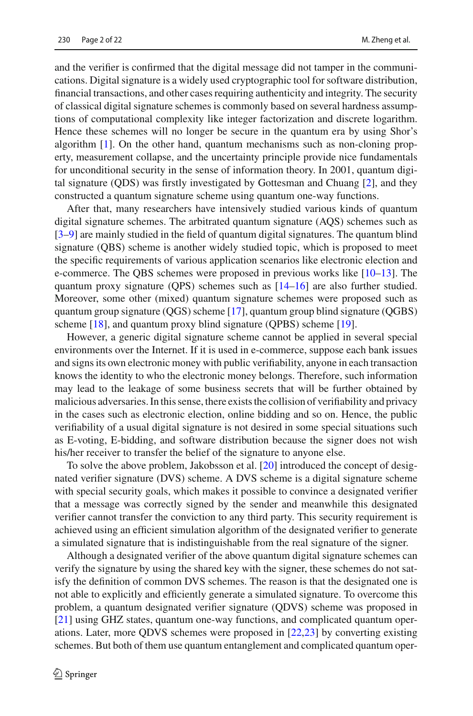and the verifier is confirmed that the digital message did not tamper in the communications. Digital signature is a widely used cryptographic tool for software distribution, financial transactions, and other cases requiring authenticity and integrity. The security of classical digital signature schemes is commonly based on several hardness assumptions of computational complexity like integer factorization and discrete logarithm. Hence these schemes will no longer be secure in the quantum era by using Shor's algorithm [\[1](#page-19-0)]. On the other hand, quantum mechanisms such as non-cloning property, measurement collapse, and the uncertainty principle provide nice fundamentals for unconditional security in the sense of information theory. In 2001, quantum digital signature (QDS) was firstly investigated by Gottesman and Chuang [\[2](#page-19-1)], and they constructed a quantum signature scheme using quantum one-way functions.

After that, many researchers have intensively studied various kinds of quantum digital signature schemes. The arbitrated quantum signature (AQS) schemes such as [\[3](#page-19-2)[–9](#page-19-3)] are mainly studied in the field of quantum digital signatures. The quantum blind signature (QBS) scheme is another widely studied topic, which is proposed to meet the specific requirements of various application scenarios like electronic election and e-commerce. The QBS schemes were proposed in previous works like [\[10](#page-19-4)[–13\]](#page-19-5). The quantum proxy signature (QPS) schemes such as  $[14–16]$  $[14–16]$  are also further studied. Moreover, some other (mixed) quantum signature schemes were proposed such as quantum group signature (QGS) scheme [\[17\]](#page-20-1), quantum group blind signature (QGBS) scheme [\[18](#page-20-2)], and quantum proxy blind signature (QPBS) scheme [\[19](#page-20-3)].

However, a generic digital signature scheme cannot be applied in several special environments over the Internet. If it is used in e-commerce, suppose each bank issues and signs its own electronic money with public verifiability, anyone in each transaction knows the identity to who the electronic money belongs. Therefore, such information may lead to the leakage of some business secrets that will be further obtained by malicious adversaries. In this sense, there exists the collision of verifiability and privacy in the cases such as electronic election, online bidding and so on. Hence, the public verifiability of a usual digital signature is not desired in some special situations such as E-voting, E-bidding, and software distribution because the signer does not wish his/her receiver to transfer the belief of the signature to anyone else.

To solve the above problem, Jakobsson et al. [\[20\]](#page-20-4) introduced the concept of designated verifier signature (DVS) scheme. A DVS scheme is a digital signature scheme with special security goals, which makes it possible to convince a designated verifier that a message was correctly signed by the sender and meanwhile this designated verifier cannot transfer the conviction to any third party. This security requirement is achieved using an efficient simulation algorithm of the designated verifier to generate a simulated signature that is indistinguishable from the real signature of the signer.

Although a designated verifier of the above quantum digital signature schemes can verify the signature by using the shared key with the signer, these schemes do not satisfy the definition of common DVS schemes. The reason is that the designated one is not able to explicitly and efficiently generate a simulated signature. To overcome this problem, a quantum designated verifier signature (QDVS) scheme was proposed in [\[21](#page-20-5)] using GHZ states, quantum one-way functions, and complicated quantum operations. Later, more QDVS schemes were proposed in [\[22](#page-20-6)[,23\]](#page-20-7) by converting existing schemes. But both of them use quantum entanglement and complicated quantum oper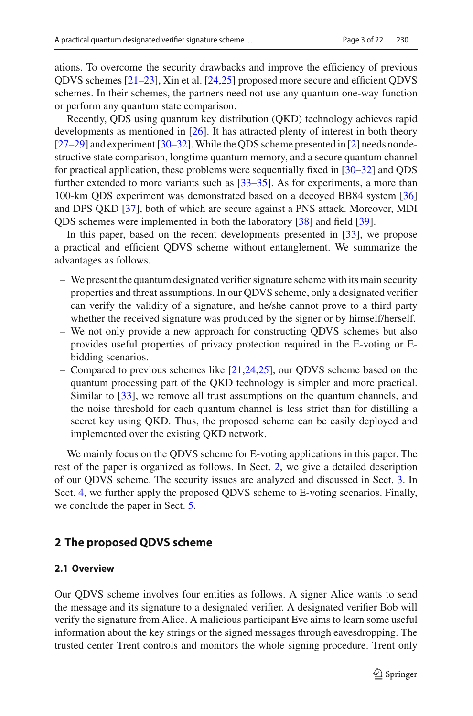ations. To overcome the security drawbacks and improve the efficiency of previous QDVS schemes [\[21](#page-20-5)[–23\]](#page-20-7), Xin et al. [\[24](#page-20-8)[,25\]](#page-20-9) proposed more secure and efficient QDVS schemes. In their schemes, the partners need not use any quantum one-way function or perform any quantum state comparison.

Recently, QDS using quantum key distribution (QKD) technology achieves rapid developments as mentioned in [\[26\]](#page-20-10). It has attracted plenty of interest in both theory [\[27](#page-20-11)[–29\]](#page-20-12) and experiment [\[30](#page-20-13)[–32](#page-20-14)].While the QDS scheme presented in [\[2](#page-19-1)] needs nondestructive state comparison, longtime quantum memory, and a secure quantum channel for practical application, these problems were sequentially fixed in [\[30](#page-20-13)[–32\]](#page-20-14) and QDS further extended to more variants such as  $[33-35]$  $[33-35]$ . As for experiments, a more than 100-km QDS experiment was demonstrated based on a decoyed BB84 system [\[36\]](#page-20-17) and DPS QKD [\[37](#page-20-18)], both of which are secure against a PNS attack. Moreover, MDI QDS schemes were implemented in both the laboratory [\[38\]](#page-20-19) and field [\[39\]](#page-20-20).

In this paper, based on the recent developments presented in  $[33]$  $[33]$ , we propose a practical and efficient QDVS scheme without entanglement. We summarize the advantages as follows.

- We present the quantum designated verifier signature scheme with its main security properties and threat assumptions. In our QDVS scheme, only a designated verifier can verify the validity of a signature, and he/she cannot prove to a third party whether the received signature was produced by the signer or by himself/herself.
- We not only provide a new approach for constructing QDVS schemes but also provides useful properties of privacy protection required in the E-voting or Ebidding scenarios.
- Compared to previous schemes like [\[21](#page-20-5)[,24](#page-20-8)[,25](#page-20-9)], our QDVS scheme based on the quantum processing part of the QKD technology is simpler and more practical. Similar to [\[33\]](#page-20-15), we remove all trust assumptions on the quantum channels, and the noise threshold for each quantum channel is less strict than for distilling a secret key using QKD. Thus, the proposed scheme can be easily deployed and implemented over the existing QKD network.

We mainly focus on the QDVS scheme for E-voting applications in this paper. The rest of the paper is organized as follows. In Sect. [2,](#page-2-0) we give a detailed description of our QDVS scheme. The security issues are analyzed and discussed in Sect. [3.](#page-11-0) In Sect. [4,](#page-16-0) we further apply the proposed QDVS scheme to E-voting scenarios. Finally, we conclude the paper in Sect. [5.](#page-18-0)

# <span id="page-2-0"></span>**2 The proposed QDVS scheme**

# **2.1 Overview**

Our QDVS scheme involves four entities as follows. A signer Alice wants to send the message and its signature to a designated verifier. A designated verifier Bob will verify the signature from Alice. A malicious participant Eve aims to learn some useful information about the key strings or the signed messages through eavesdropping. The trusted center Trent controls and monitors the whole signing procedure. Trent only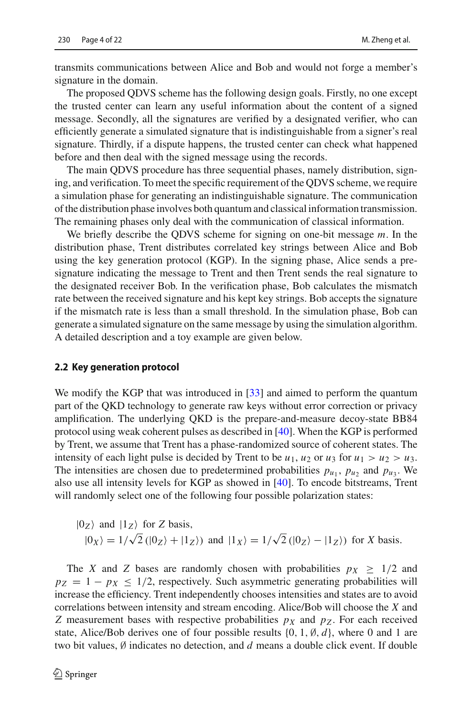transmits communications between Alice and Bob and would not forge a member's signature in the domain.

The proposed QDVS scheme has the following design goals. Firstly, no one except the trusted center can learn any useful information about the content of a signed message. Secondly, all the signatures are verified by a designated verifier, who can efficiently generate a simulated signature that is indistinguishable from a signer's real signature. Thirdly, if a dispute happens, the trusted center can check what happened before and then deal with the signed message using the records.

The main QDVS procedure has three sequential phases, namely distribution, signing, and verification. To meet the specific requirement of the QDVS scheme, we require a simulation phase for generating an indistinguishable signature. The communication of the distribution phase involves both quantum and classical information transmission. The remaining phases only deal with the communication of classical information.

We briefly describe the QDVS scheme for signing on one-bit message *m*. In the distribution phase, Trent distributes correlated key strings between Alice and Bob using the key generation protocol (KGP). In the signing phase, Alice sends a presignature indicating the message to Trent and then Trent sends the real signature to the designated receiver Bob. In the verification phase, Bob calculates the mismatch rate between the received signature and his kept key strings. Bob accepts the signature if the mismatch rate is less than a small threshold. In the simulation phase, Bob can generate a simulated signature on the same message by using the simulation algorithm. A detailed description and a toy example are given below.

#### **2.2 Key generation protocol**

We modify the KGP that was introduced in [\[33\]](#page-20-15) and aimed to perform the quantum part of the QKD technology to generate raw keys without error correction or privacy amplification. The underlying QKD is the prepare-and-measure decoy-state BB84 protocol using weak coherent pulses as described in [\[40\]](#page-21-0). When the KGP is performed by Trent, we assume that Trent has a phase-randomized source of coherent states. The intensity of each light pulse is decided by Trent to be  $u_1, u_2$  or  $u_3$  for  $u_1 > u_2 > u_3$ . The intensities are chosen due to predetermined probabilities  $p_{u_1}$ ,  $p_{u_2}$  and  $p_{u_3}$ . We also use all intensity levels for KGP as showed in [\[40](#page-21-0)]. To encode bitstreams, Trent will randomly select one of the following four possible polarization states:

$$
|0_Z\rangle
$$
 and  $|1_Z\rangle$  for Z basis,  
 $|0_X\rangle = 1/\sqrt{2} (|0_Z\rangle + |1_Z\rangle)$  and  $|1_X\rangle = 1/\sqrt{2} (|0_Z\rangle - |1_Z\rangle)$  for X basis.

The *X* and *Z* bases are randomly chosen with probabilities  $p_X \geq 1/2$  and  $p_Z = 1 - p_X \le 1/2$ , respectively. Such asymmetric generating probabilities will increase the efficiency. Trent independently chooses intensities and states are to avoid correlations between intensity and stream encoding. Alice/Bob will choose the *X* and *Z* measurement bases with respective probabilities  $p<sub>X</sub>$  and  $p<sub>Z</sub>$ . For each received state, Alice/Bob derives one of four possible results  $\{0, 1, \emptyset, d\}$ , where 0 and 1 are two bit values, ∅ indicates no detection, and *d* means a double click event. If double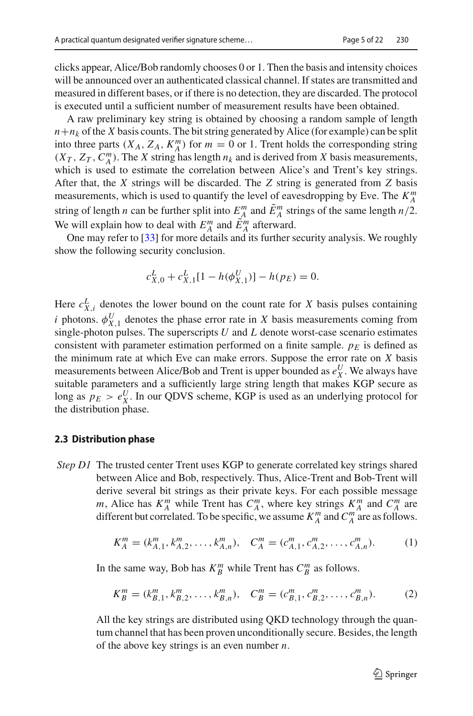clicks appear, Alice/Bob randomly chooses 0 or 1. Then the basis and intensity choices will be announced over an authenticated classical channel. If states are transmitted and measured in different bases, or if there is no detection, they are discarded. The protocol is executed until a sufficient number of measurement results have been obtained.

A raw preliminary key string is obtained by choosing a random sample of length  $n + n_k$  of the *X* basis counts. The bit string generated by Alice (for example) can be split into three parts  $(X_A, Z_A, K_A^m)$  for  $m = 0$  or 1. Trent holds the corresponding string  $(X_T, Z_T, C_A^m)$ . The *X* string has length  $n_k$  and is derived from *X* basis measurements, which is used to estimate the correlation between Alice's and Trent's key strings. After that, the *X* strings will be discarded. The *Z* string is generated from *Z* basis measurements, which is used to quantify the level of eavesdropping by Eve. The  $K_A^m$ string of length *n* can be further split into  $E_A^m$  and  $\tilde{E}_A^m$  strings of the same length  $n/2$ . We will explain how to deal with  $E_A^m$  and  $\tilde{E}_A^m$  afterward.

One may refer to [\[33](#page-20-15)] for more details and its further security analysis. We roughly show the following security conclusion.

$$
c_{X,0}^L + c_{X,1}^L[1 - h(\phi_{X,1}^U)] - h(p_E) = 0.
$$

Here  $c_{X,i}^L$  denotes the lower bound on the count rate for *X* basis pulses containing *i* photons.  $\phi_{X,1}^U$  denotes the phase error rate in *X* basis measurements coming from single-photon pulses. The superscripts *U* and *L* denote worst-case scenario estimates consistent with parameter estimation performed on a finite sample.  $p_F$  is defined as the minimum rate at which Eve can make errors. Suppose the error rate on *X* basis measurements between Alice/Bob and Trent is upper bounded as  $e_X^U$ . We always have suitable parameters and a sufficiently large string length that makes KGP secure as long as  $p_E > e_X^U$ . In our QDVS scheme, KGP is used as an underlying protocol for the distribution phase.

#### **2.3 Distribution phase**

*Step D1* The trusted center Trent uses KGP to generate correlated key strings shared between Alice and Bob, respectively. Thus, Alice-Trent and Bob-Trent will derive several bit strings as their private keys. For each possible message *m*, Alice has  $K_A^m$  while Trent has  $C_A^m$ , where key strings  $K_A^m$  and  $C_A^m$  are different but correlated. To be specific, we assume  $K_A^m$  and  $C_A^m$  are as follows.

<span id="page-4-0"></span>
$$
K_A^m = (k_{A,1}^m, k_{A,2}^m, \dots, k_{A,n}^m), \quad C_A^m = (c_{A,1}^m, c_{A,2}^m, \dots, c_{A,n}^m). \tag{1}
$$

In the same way, Bob has  $K_{B}^{m}$  while Trent has  $C_{B}^{m}$  as follows.

<span id="page-4-1"></span>
$$
K_B^m = (k_{B,1}^m, k_{B,2}^m, \dots, k_{B,n}^m), \quad C_B^m = (c_{B,1}^m, c_{B,2}^m, \dots, c_{B,n}^m). \tag{2}
$$

All the key strings are distributed using QKD technology through the quantum channel that has been proven unconditionally secure. Besides, the length of the above key strings is an even number *n*.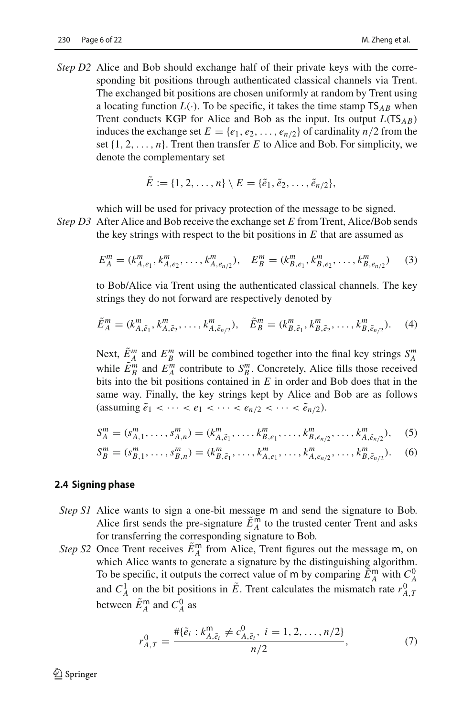*Step D2* Alice and Bob should exchange half of their private keys with the corresponding bit positions through authenticated classical channels via Trent. The exchanged bit positions are chosen uniformly at random by Trent using a locating function  $L(\cdot)$ . To be specific, it takes the time stamp  $TS_{AB}$  when Trent conducts KGP for Alice and Bob as the input. Its output *<sup>L</sup>*(TS*AB*) induces the exchange set  $E = \{e_1, e_2, \dots, e_{n/2}\}\$  of cardinality  $n/2$  from the set  $\{1, 2, \ldots, n\}$ . Trent then transfer *E* to Alice and Bob. For simplicity, we denote the complementary set

$$
E := \{1, 2, ..., n\} \setminus E = \{\tilde{e}_1, \tilde{e}_2, ..., \tilde{e}_{n/2}\},\
$$

which will be used for privacy protection of the message to be signed.

*Step D3* After Alice and Bob receive the exchange set *E* from Trent, Alice/Bob sends the key strings with respect to the bit positions in *E* that are assumed as

<span id="page-5-4"></span>
$$
E_A^m = (k_{A,e_1}^m, k_{A,e_2}^m, \dots, k_{A,e_{n/2}}^m), \quad E_B^m = (k_{B,e_1}^m, k_{B,e_2}^m, \dots, k_{B,e_{n/2}}^m)
$$
(3)

to Bob/Alice via Trent using the authenticated classical channels. The key strings they do not forward are respectively denoted by

<span id="page-5-2"></span>
$$
\tilde{E}_A^m = (k_{A,\tilde{e}_1}^m, k_{A,\tilde{e}_2}^m, \dots, k_{A,\tilde{e}_{n/2}}^m), \quad \tilde{E}_B^m = (k_{B,\tilde{e}_1}^m, k_{B,\tilde{e}_2}^m, \dots, k_{B,\tilde{e}_{n/2}}^m).
$$
 (4)

Next,  $\tilde{E}_A^m$  and  $E_B^m$  will be combined together into the final key strings  $S_A^m$ while  $\tilde{E}_B^m$  and  $E_A^m$  contribute to  $S_B^m$ . Concretely, Alice fills those received bits into the bit positions contained in *E* in order and Bob does that in the same way. Finally, the key strings kept by Alice and Bob are as follows (assuming  $\tilde{e}_1 < \cdots < e_1 < \cdots < e_{n/2} < \cdots < \tilde{e}_{n/2}$ ).

<span id="page-5-1"></span><span id="page-5-0"></span>
$$
S_A^m = (s_{A,1}^m, \dots, s_{A,n}^m) = (k_{A,\tilde{e}_1}^m, \dots, k_{B,e_1}^m, \dots, k_{B,e_{n/2}}^m, \dots, k_{A,\tilde{e}_{n/2}}^m),
$$
 (5)

$$
S_{B}^{m} = (s_{B,1}^{m}, \dots, s_{B,n}^{m}) = (k_{B,\tilde{e}_1}^{m}, \dots, k_{A,e_1}^{m}, \dots, k_{A,e_{n/2}}^{m}, \dots, k_{B,\tilde{e}_{n/2}}^{m}).
$$
 (6)

#### **2.4 Signing phase**

- *Step S1* Alice wants to sign a one-bit message m and send the signature to Bob. Alice first sends the pre-signature  $E_A^{\mathsf{m}}$  to the trusted center Trent and asks for transferring the corresponding signature to Bob.
- *Step S2* Once Trent receives  $E_A^{\text{m}}$  from Alice, Trent figures out the message m, on which Alice wants to generate a signature by the distinguishing algorithm which Alice wants to generate a signature by the distinguishing algorithm. To be specific, it outputs the correct value of m by comparing  $\tilde{E}_A^m$  with  $C_A^0$ <br>and  $C_A^1$  on the hit positions in  $\tilde{E}_A^T$  Trent solarities the mismatch rate  $x_0^0$ and  $C_A^1$  on the bit positions in  $\tilde{E}$ . Trent calculates the mismatch rate  $r_{A,T}^0$ between  $\tilde{E}_A^{\mathsf{m}}$  and  $C_A^0$  as

<span id="page-5-3"></span>
$$
r_{A,T}^0 = \frac{\# \{\tilde{e}_i : k_{A,\tilde{e}_i}^m \neq c_{A,\tilde{e}_i}^0, i = 1, 2, \dots, n/2\}}{n/2},\tag{7}
$$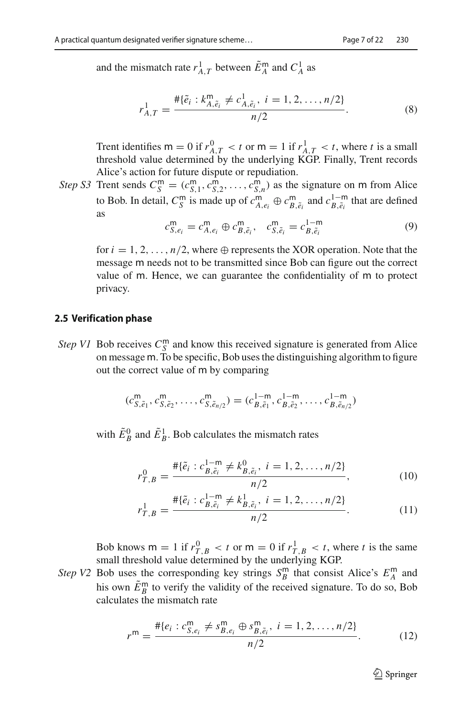and the mismatch rate  $r_{A,T}^1$  between  $\tilde{E}_A^m$  and  $C_A^1$  as

<span id="page-6-4"></span>
$$
r_{A,T}^1 = \frac{\# \{\tilde{e}_i : k_{A,\tilde{e}_i}^m \neq c_{A,\tilde{e}_i}^1, i = 1, 2, \dots, n/2\}}{n/2}.
$$
 (8)

Trent identifies  $m = 0$  if  $r_{A,T}^0 < t$  or  $m = 1$  if  $r_{A,T}^1 < t$ , where *t* is a small threshold value determined by the underlying KGP Finally. Trent records threshold value determined by the underlying KGP. Finally, Trent records Alice's action for future dispute or repudiation.

*Step S3* Trent sends  $C_S^m = (c_{S,1}^m, c_{S,2}^m, \ldots, c_{S,n}^m)$  as the signature on m from Alice to Bob. In detail,  $C_S^m$  is made up of  $c_{A,e_i}^m \oplus c_{B,\tilde{e}_i}^m$  and  $c_{B,\tilde{e}_i}^{1-m}$  that are defined as

<span id="page-6-3"></span>
$$
c_{S,e_i}^{\mathsf{m}} = c_{A,e_i}^{\mathsf{m}} \oplus c_{B,\tilde{e}_i}^{\mathsf{m}}, \quad c_{S,\tilde{e}_i}^{\mathsf{m}} = c_{B,\tilde{e}_i}^{1-\mathsf{m}} \tag{9}
$$

for  $i = 1, 2, ..., n/2$ , where  $\oplus$  represents the XOR operation. Note that the message m needs not to be transmitted since Bob can figure out the correct value of m. Hence, we can guarantee the confidentiality of m to protect privacy.

#### **2.5 Verification phase**

*Step V1* Bob receives  $C_S^m$  and know this received signature is generated from Alice on message m. To be specific, Bob uses the distinguishing algorithm to figure out the correct value of m by comparing

$$
(c_{S,\tilde{e}_1}^m, c_{S,\tilde{e}_2}^m, \ldots, c_{S,\tilde{e}_{n/2}}^m) = (c_{B,\tilde{e}_1}^{1-m}, c_{B,\tilde{e}_2}^{1-m}, \ldots, c_{B,\tilde{e}_{n/2}}^{1-m})
$$

with  $\tilde{E}_B^0$  and  $\tilde{E}_B^1$ . Bob calculates the mismatch rates

$$
r_{T,B}^0 = \frac{\# \{\tilde{e}_i : c_{B,\tilde{e}_i}^{1-m} \neq k_{B,\tilde{e}_i}^0, i = 1, 2, \dots, n/2\}}{n/2},\tag{10}
$$

$$
r_{T,B}^1 = \frac{\# \{\tilde{e}_i : c_{B,\tilde{e}_i}^{1-m} \neq k_{B,\tilde{e}_i}^1, i = 1, 2, \dots, n/2\}}{n/2}.
$$
 (11)

Bob knows  $m = 1$  if  $r_{T,B}^0 < t$  or  $m = 0$  if  $r_{T,B}^1 < t$ , where *t* is the same<br>small threshold value determined by the underlying KGP small threshold value determined by the underlying KGP.

*Step V2* Bob uses the corresponding key strings  $S_B^m$  that consist Alice's  $E_A^m$  and his own  $E_B^{\text{m}}$  to verify the validity of the received signature. To do so, Bob calculates the mismatch rate

<span id="page-6-2"></span>
$$
r^{\mathsf{m}} = \frac{\# \{e_i : c_{S,e_i}^{\mathsf{m}} \neq s_{B,e_i}^{\mathsf{m}} \oplus s_{B,\tilde{e}_i}^{\mathsf{m}}, \ i = 1, 2, \dots, n/2\}}{n/2}.
$$
 (12)

<span id="page-6-1"></span><span id="page-6-0"></span> $\mathcal{D}$  Springer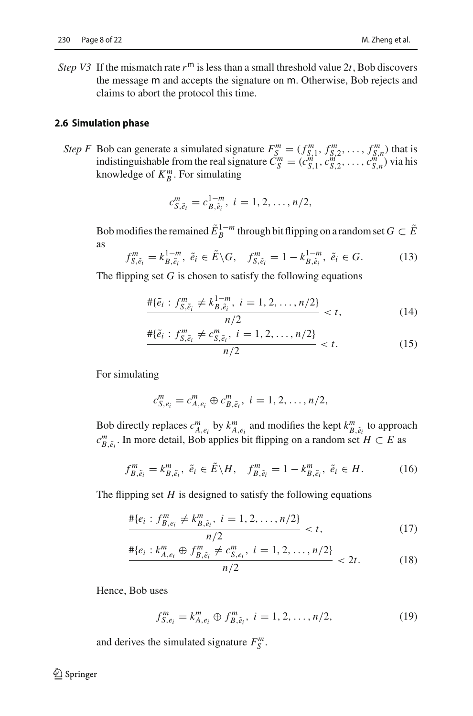*Step V3* If the mismatch rate  $r<sup>m</sup>$  is less than a small threshold value 2*t*, Bob discovers the message m and accepts the signature on m. Otherwise, Bob rejects and claims to abort the protocol this time.

#### **2.6 Simulation phase**

*Step F* Bob can generate a simulated signature  $F_S^m = (f_{S,1}^m, f_{S,2}^m, \ldots, f_{S,n}^m)$  that is indistinguishable from the real signature  $\vec{C}_S^m = (c_{S,1}^m, c_{S,2}^m, \dots, c_{S,n}^m)$  via his knowledge of  $K_B^m$ . For simulating

<span id="page-7-1"></span>
$$
c_{S,\tilde{e}_i}^m = c_{B,\tilde{e}_i}^{1-m}, i = 1, 2, \ldots, n/2,
$$

Bob modifies the remained  $\tilde{E}_R^{1-m}$  through bit flipping on a random set  $G \subset \tilde{E}$ as

<span id="page-7-0"></span>
$$
f_{S,\tilde{e}_i}^m = k_{B,\tilde{e}_i}^{1-m}, \ \tilde{e}_i \in \tilde{E} \backslash G, \quad f_{S,\tilde{e}_i}^m = 1 - k_{B,\tilde{e}_i}^{1-m}, \ \tilde{e}_i \in G. \tag{13}
$$

The flipping set *G* is chosen to satisfy the following equations

$$
\frac{\# \{\tilde{e}_i : f_{S, \tilde{e}_i}^m \neq k_{B, \tilde{e}_i}^{1-m}, i = 1, 2, \dots, n/2\}}{n/2} < t,\tag{14}
$$

<span id="page-7-2"></span>
$$
\frac{\# \{\tilde{e}_i : f_{S, \tilde{e}_i}^m \neq c_{S, \tilde{e}_i}^m, i = 1, 2, \dots, n/2\}}{n/2} < t. \tag{15}
$$

For simulating

$$
c_{S,e_i}^m = c_{A,e_i}^m \oplus c_{B,\tilde{e}_i}^m, \ i = 1, 2, \ldots, n/2,
$$

Bob directly replaces  $c_{A,e_i}^m$  by  $k_{A,e_i}^m$  and modifies the kept  $k_{B,\tilde{e}_i}^m$  to approach  $c_{B,\tilde{e}_i}^m$ . In more detail, Bob applies bit flipping on a random set *H* ⊂ *E* as

<span id="page-7-3"></span>
$$
f_{B,\tilde{e}_i}^m = k_{B,\tilde{e}_i}^m, \ \tilde{e}_i \in \tilde{E} \backslash H, \quad f_{B,\tilde{e}_i}^m = 1 - k_{B,\tilde{e}_i}^m, \ \tilde{e}_i \in H. \tag{16}
$$

The flipping set  $H$  is designed to satisfy the following equations

$$
\frac{\# \{e_i : f_{B,e_i}^m \neq k_{B,\tilde{e}_i}^m, i = 1, 2, \dots, n/2\}}{n/2} < t,\tag{17}
$$

$$
\frac{\# \{e_i : k_{A,e_i}^m \oplus f_{B,\tilde{e}_i}^m \neq c_{S,e_i}^m, i = 1, 2, \dots, n/2\}}{n/2} < 2t. \tag{18}
$$

Hence, Bob uses

<span id="page-7-6"></span><span id="page-7-5"></span><span id="page-7-4"></span>
$$
f_{S,e_i}^m = k_{A,e_i}^m \oplus f_{B,\tilde{e}_i}^m, \ i = 1, 2, \dots, n/2,
$$
 (19)

and derives the simulated signature  $F_S^m$ .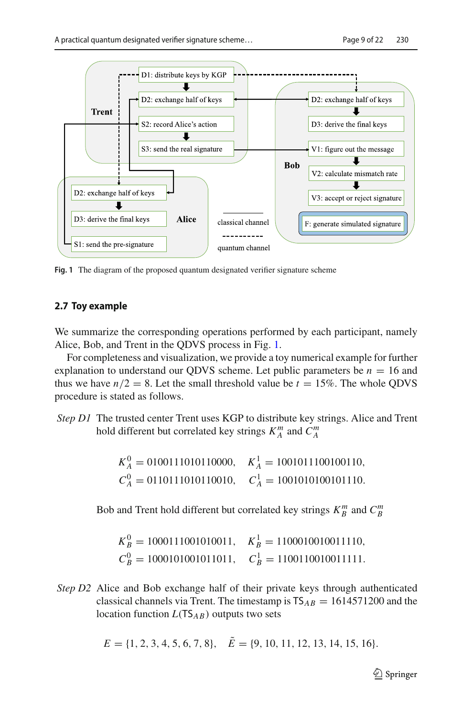

<span id="page-8-0"></span>**Fig. 1** The diagram of the proposed quantum designated verifier signature scheme

# **2.7 Toy example**

We summarize the corresponding operations performed by each participant, namely Alice, Bob, and Trent in the QDVS process in Fig. [1.](#page-8-0)

For completeness and visualization, we provide a toy numerical example for further explanation to understand our QDVS scheme. Let public parameters be  $n = 16$  and thus we have  $n/2 = 8$ . Let the small threshold value be  $t = 15\%$ . The whole QDVS procedure is stated as follows.

*Step D1* The trusted center Trent uses KGP to distribute key strings. Alice and Trent hold different but correlated key strings  $K_A^m$  and  $C_A^m$ 

|                                                             | $K_A^0 = 0100111010110000$ , $K_A^1 = 1001011100100110$ , |
|-------------------------------------------------------------|-----------------------------------------------------------|
| $C_4^0 = 0110111010110010, \quad C_4^1 = 1001010100101110.$ |                                                           |

Bob and Trent hold different but correlated key strings  $K_B^m$  and  $C_B^m$ 

|                                                             | $K_R^0 = 1000111001010011, \quad K_R^1 = 1100010010011110,$ |
|-------------------------------------------------------------|-------------------------------------------------------------|
| $C_R^0 = 1000101001011011, \quad C_R^1 = 1100110010011111.$ |                                                             |

*Step D2* Alice and Bob exchange half of their private keys through authenticated classical channels via Trent. The timestamp is  $TS_{AB} = 1614571200$  and the location function *<sup>L</sup>*(TS*AB*) outputs two sets

$$
E = \{1, 2, 3, 4, 5, 6, 7, 8\}, \quad \tilde{E} = \{9, 10, 11, 12, 13, 14, 15, 16\}.
$$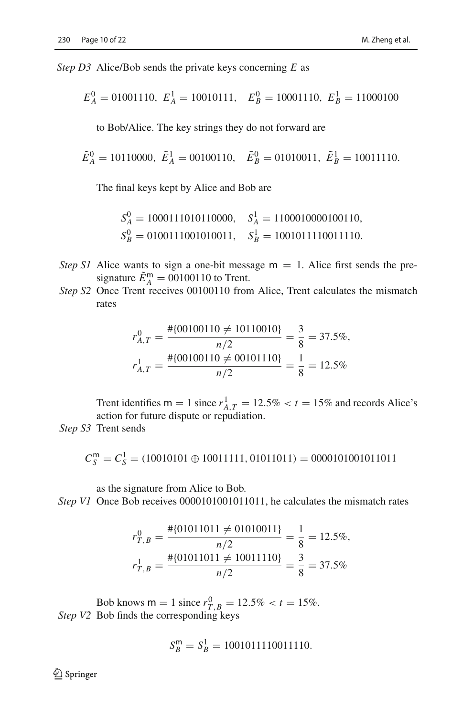*Step D3* Alice/Bob sends the private keys concerning *E* as

$$
E_A^0 = 01001110
$$
,  $E_A^1 = 10010111$ ,  $E_B^0 = 10001110$ ,  $E_B^1 = 11000100$ 

to Bob/Alice. The key strings they do not forward are

$$
\tilde{E}_A^0 = 10110000
$$
,  $\tilde{E}_A^1 = 00100110$ ,  $\tilde{E}_B^0 = 01010011$ ,  $\tilde{E}_B^1 = 10011110$ .

The final keys kept by Alice and Bob are

$$
S_A^0 = 1000111010110000
$$
,  $S_A^1 = 1100010000100110$ ,  
\n $S_B^0 = 0100111001010011$ ,  $S_B^1 = 1001011110011110$ .

- *Step S1* Alice wants to sign a one-bit message  $m = 1$ . Alice first sends the presignature  $E_A^{\text{m}} = 00100110$  to Trent.
- *Step S2* Once Trent receives 00100110 from Alice, Trent calculates the mismatch rates

$$
r_{A,T}^0 = \frac{\# \{00100110 \neq 10110010\}}{n/2} = \frac{3}{8} = 37.5\%,
$$
  

$$
r_{A,T}^1 = \frac{\# \{00100110 \neq 00101110\}}{n/2} = \frac{1}{8} = 12.5\%
$$

Trent identifies  $m = 1$  since  $r_{A,T}^1 = 12.5\% < t = 15\%$  and records Alice's action for future dispute or repudiation action for future dispute or repudiation.

*Step S3* Trent sends

$$
C_S^{\mathsf{m}} = C_S^1 = (10010101 \oplus 10011111, 01011011) = 0000101001011011
$$

as the signature from Alice to Bob.

*Step V1* Once Bob receives 0000101001011011, he calculates the mismatch rates

$$
r_{T,B}^0 = \frac{\# \{01011011 \neq 01010011\}}{n/2} = \frac{1}{8} = 12.5\%,
$$
  

$$
r_{T,B}^1 = \frac{\# \{01011011 \neq 10011110\}}{n/2} = \frac{3}{8} = 37.5\%
$$

Bob knows  $m = 1$  since  $r_{T,B}^0 = 12.5\% < t = 15\%$ .<br>Bob finds the corresponding keys *Step V2* Bob finds the corresponding keys

$$
S_B^{\mathsf{m}} = S_B^1 = 1001011110011110.
$$

 $\bigcirc$  Springer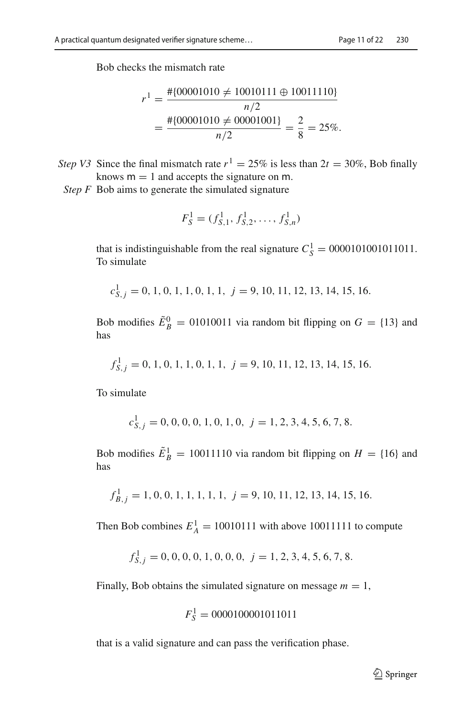Bob checks the mismatch rate

$$
r^{1} = \frac{\text{\#[00001010 \neq 10010111 \oplus 10011110]}}{n/2}
$$
  
= 
$$
\frac{\text{\#[00001010 \neq 00001001]}}{n/2} = \frac{2}{8} = 25\%.
$$

- *Step V3* Since the final mismatch rate  $r^1 = 25\%$  is less than  $2t = 30\%$ , Bob finally knows  $m = 1$  and accepts the signature on m.
	- *Step F* Bob aims to generate the simulated signature

$$
F_S^1 = (f_{S,1}^1, f_{S,2}^1, \dots, f_{S,n}^1)
$$

that is indistinguishable from the real signature  $C_S^1 = 0000101001011011$ . To simulate

 $c_{S,j}^1 = 0, 1, 0, 1, 1, 0, 1, 1, j = 9, 10, 11, 12, 13, 14, 15, 16.$ 

Bob modifies  $\tilde{E}_B^0 = 01010011$  via random bit flipping on  $G = \{13\}$  and has

$$
f_{S,j}^1 = 0, 1, 0, 1, 1, 0, 1, 1, j = 9, 10, 11, 12, 13, 14, 15, 16.
$$

To simulate

$$
c_{S,j}^1 = 0, 0, 0, 0, 1, 0, 1, 0, j = 1, 2, 3, 4, 5, 6, 7, 8.
$$

Bob modifies  $\tilde{E}^1_B = 10011110$  via random bit flipping on  $H = \{16\}$  and has

$$
f_{B,j}^1 = 1, 0, 0, 1, 1, 1, 1, 1, j = 9, 10, 11, 12, 13, 14, 15, 16.
$$

Then Bob combines  $E_A^1 = 10010111$  with above 10011111 to compute

$$
f_{S,j}^1 = 0, 0, 0, 0, 1, 0, 0, 0, j = 1, 2, 3, 4, 5, 6, 7, 8.
$$

Finally, Bob obtains the simulated signature on message  $m = 1$ ,

$$
F_S^1 = 0000100001011011
$$

that is a valid signature and can pass the verification phase.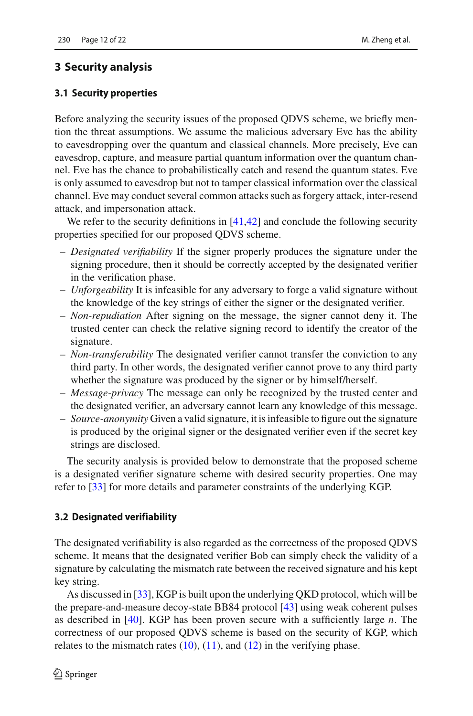# <span id="page-11-0"></span>**3 Security analysis**

### **3.1 Security properties**

Before analyzing the security issues of the proposed QDVS scheme, we briefly mention the threat assumptions. We assume the malicious adversary Eve has the ability to eavesdropping over the quantum and classical channels. More precisely, Eve can eavesdrop, capture, and measure partial quantum information over the quantum channel. Eve has the chance to probabilistically catch and resend the quantum states. Eve is only assumed to eavesdrop but not to tamper classical information over the classical channel. Eve may conduct several common attacks such as forgery attack, inter-resend attack, and impersonation attack.

We refer to the security definitions in [\[41](#page-21-1)[,42](#page-21-2)] and conclude the following security properties specified for our proposed QDVS scheme.

- *Designated verifiability* If the signer properly produces the signature under the signing procedure, then it should be correctly accepted by the designated verifier in the verification phase.
- *Unforgeability* It is infeasible for any adversary to forge a valid signature without the knowledge of the key strings of either the signer or the designated verifier.
- *Non-repudiation* After signing on the message, the signer cannot deny it. The trusted center can check the relative signing record to identify the creator of the signature.
- *Non-transferability* The designated verifier cannot transfer the conviction to any third party. In other words, the designated verifier cannot prove to any third party whether the signature was produced by the signer or by himself/herself.
- *Message-privacy* The message can only be recognized by the trusted center and the designated verifier, an adversary cannot learn any knowledge of this message.
- *Source-anonymity* Given a valid signature, it is infeasible to figure out the signature is produced by the original signer or the designated verifier even if the secret key strings are disclosed.

The security analysis is provided below to demonstrate that the proposed scheme is a designated verifier signature scheme with desired security properties. One may refer to [\[33\]](#page-20-15) for more details and parameter constraints of the underlying KGP.

#### **3.2 Designated verifiability**

The designated verifiability is also regarded as the correctness of the proposed QDVS scheme. It means that the designated verifier Bob can simply check the validity of a signature by calculating the mismatch rate between the received signature and his kept key string.

As discussed in [\[33](#page-20-15)], KGP is built upon the underlying QKD protocol, which will be the prepare-and-measure decoy-state BB84 protocol [\[43\]](#page-21-3) using weak coherent pulses as described in [\[40\]](#page-21-0). KGP has been proven secure with a sufficiently large *n*. The correctness of our proposed QDVS scheme is based on the security of KGP, which relates to the mismatch rates  $(10)$ ,  $(11)$ , and  $(12)$  in the verifying phase.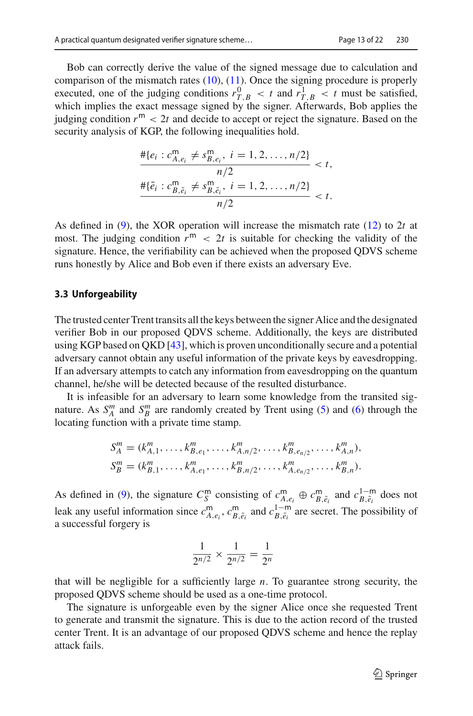Bob can correctly derive the value of the signed message due to calculation and comparison of the mismatch rates  $(10)$ ,  $(11)$ . Once the signing procedure is properly executed, one of the judging conditions  $r_{T,B}^0 < t$  and  $r_{T,B}^1 < t$  must be satisfied, which implies the exact message signed by the signer. Afterwards, Bob applies the judging condition  $r^m < 2t$  and decide to accept or reject the signature. Based on the security analysis of KGP, the following inequalities hold.

$$
\frac{\# \{e_i : c_{A,e_i}^m \neq s_{B,e_i}^m, i = 1, 2, ..., n/2\}}{n/2} < t,
$$
\n
$$
\frac{\# \{\tilde{e}_i : c_{B,\tilde{e}_i}^m \neq s_{B,\tilde{e}_i}^m, i = 1, 2, ..., n/2\}}{n/2} < t.
$$

As defined in [\(9\)](#page-6-3), the XOR operation will increase the mismatch rate [\(12\)](#page-6-2) to 2*t* at most. The judging condition  $r^m$  < 2t is suitable for checking the validity of the signature. Hence, the verifiability can be achieved when the proposed QDVS scheme runs honestly by Alice and Bob even if there exists an adversary Eve.

#### **3.3 Unforgeability**

The trusted center Trent transits all the keys between the signer Alice and the designated verifier Bob in our proposed QDVS scheme. Additionally, the keys are distributed using KGP based on QKD [\[43](#page-21-3)], which is proven unconditionally secure and a potential adversary cannot obtain any useful information of the private keys by eavesdropping. If an adversary attempts to catch any information from eavesdropping on the quantum channel, he/she will be detected because of the resulted disturbance.

It is infeasible for an adversary to learn some knowledge from the transited signature. As  $S_A^m$  and  $S_B^m$  are randomly created by Trent using [\(5\)](#page-5-0) and [\(6\)](#page-5-1) through the locating function with a private time stamp.

$$
S_A^m = (k_{A,1}^m, \dots, k_{B,e_1}^m, \dots, k_{A,n/2}^m, \dots, k_{B,e_{n/2}}^m, \dots, k_{A,n}^m),
$$
  
\n
$$
S_B^m = (k_{B,1}^m, \dots, k_{A,e_1}^m, \dots, k_{B,n/2}^m, \dots, k_{A,e_{n/2}}^m, \dots, k_{B,n}^m).
$$

As defined in [\(9\)](#page-6-3), the signature  $C_S^m$  consisting of  $c_{B,\tilde{e}_i}^m \oplus c_{B,\tilde{e}_i}^m$  and  $c_{B,\tilde{e}_i}^{1-m}$  does not leak any useful information since  $c_{A, e_i}^m$ ,  $c_{B, \tilde{e}_i}^m$  and  $c_{B, \tilde{e}_i}^{1-m}$  are secret. The possibility of a successful forgery is

$$
\frac{1}{2^{n/2}} \times \frac{1}{2^{n/2}} = \frac{1}{2^n}
$$

that will be negligible for a sufficiently large *n*. To guarantee strong security, the proposed QDVS scheme should be used as a one-time protocol.

The signature is unforgeable even by the signer Alice once she requested Trent to generate and transmit the signature. This is due to the action record of the trusted center Trent. It is an advantage of our proposed QDVS scheme and hence the replay attack fails.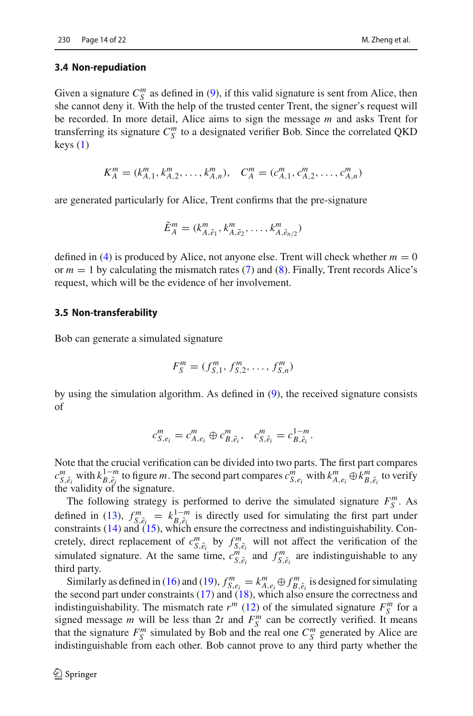#### **3.4 Non-repudiation**

Given a signature  $C_S^m$  as defined in [\(9\)](#page-6-3), if this valid signature is sent from Alice, then she cannot deny it. With the help of the trusted center Trent, the signer's request will be recorded. In more detail, Alice aims to sign the message *m* and asks Trent for transferring its signature  $C^m_S$  to a designated verifier Bob. Since the correlated QKD keys  $(1)$ 

$$
K_A^m = (k_{A,1}^m, k_{A,2}^m, \dots, k_{A,n}^m), \quad C_A^m = (c_{A,1}^m, c_{A,2}^m, \dots, c_{A,n}^m)
$$

are generated particularly for Alice, Trent confirms that the pre-signature

$$
\tilde{E}_A^m = (k_{A,\tilde{e}_1}^m, k_{A,\tilde{e}_2}^m, \dots, k_{A,\tilde{e}_{n/2}}^m)
$$

defined in [\(4\)](#page-5-2) is produced by Alice, not anyone else. Trent will check whether  $m = 0$ or  $m = 1$  by calculating the mismatch rates [\(7\)](#page-5-3) and [\(8\)](#page-6-4). Finally, Trent records Alice's request, which will be the evidence of her involvement.

### **3.5 Non-transferability**

Bob can generate a simulated signature

$$
F_S^m = (f_{S,1}^m, f_{S,2}^m, \dots, f_{S,n}^m)
$$

by using the simulation algorithm. As defined in [\(9\)](#page-6-3), the received signature consists of

$$
c_{S, e_i}^m = c_{A, e_i}^m \oplus c_{B, \tilde{e}_i}^m, \quad c_{S, \tilde{e}_i}^m = c_{B, \tilde{e}_i}^{1-m}.
$$

Note that the crucial verification can be divided into two parts. The first part compares  $c_{S,\tilde{e}_i}^m$  with  $k_{A,\tilde{e}_i}^{1-m}$  to figure m. The second part compares  $c_{S,e_i}^m$  with  $k_{A,e_i}^m \oplus k_{B,\tilde{e}_i}^m$  to verify the validity of the signature.

The following strategy is performed to derive the simulated signature  $F_S^m$ . As defined in [\(13\)](#page-7-0),  $f_{S,\tilde{e}_i}^m = k_{B,\tilde{e}_i}^{1-m}$  is directly used for simulating the first part under constraints [\(14\)](#page-7-1) and [\(15\)](#page-7-2), which ensure the correctness and indistinguishability. Concretely, direct replacement of  $c_{S,\tilde{e}_i}^m$  by  $f_{S,\tilde{e}_i}^m$  will not affect the verification of the simulated signature. At the same time,  $c_{S,\tilde{e}_i}^m$  and  $f_{S,\tilde{e}_i}^m$  are indistinguishable to any third party.

Similarly as defined in [\(16\)](#page-7-3) and [\(19\)](#page-7-4),  $f_{S, e_i}^m = k_{A, e_i}^m \oplus f_{B, \tilde{e}_i}^m$  is designed for simulating the second part under constraints [\(17\)](#page-7-5) and [\(18\)](#page-7-6), which also ensure the correctness and indistinguishability. The mismatch rate  $r^m$  [\(12\)](#page-6-2) of the simulated signature  $F_S^m$  for a signed message *m* will be less than 2*t* and  $F_S^m$  can be correctly verified. It means that the signature  $F_S^m$  simulated by Bob and the real one  $C_S^m$  generated by Alice are indistinguishable from each other. Bob cannot prove to any third party whether the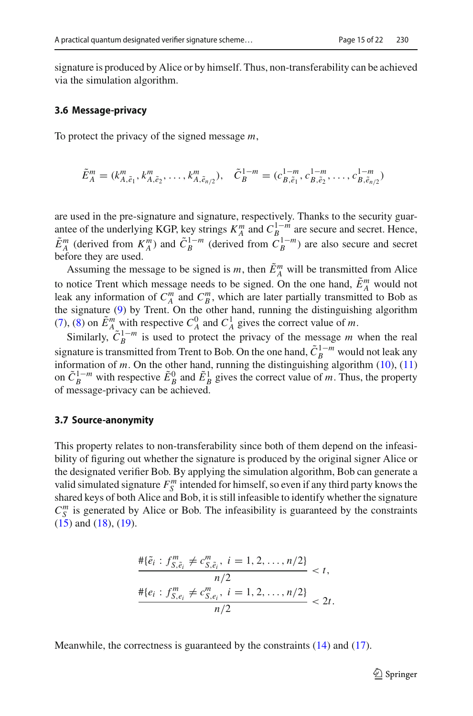signature is produced by Alice or by himself. Thus, non-transferability can be achieved via the simulation algorithm.

#### **3.6 Message-privacy**

To protect the privacy of the signed message *m*,

$$
\tilde{E}_A^m = (k_{A, \tilde{e}_1}^m, k_{A, \tilde{e}_2}^m, \dots, k_{A, \tilde{e}_{n/2}}^m), \quad \tilde{C}_B^{1-m} = (c_{B, \tilde{e}_1}^{1-m}, c_{B, \tilde{e}_2}^{1-m}, \dots, c_{B, \tilde{e}_{n/2}}^{1-m})
$$

are used in the pre-signature and signature, respectively. Thanks to the security guarantee of the underlying KGP, key strings  $K_A^m$  and  $C_{B_1}^{1-m}$  are secure and secret. Hence,  $\tilde{E}_A^m$  (derived from  $K_A^m$ ) and  $\tilde{C}_B^{1-m}$  (derived from  $C_B^{1-m}$ ) are also secure and secret before they are used.

Assuming the message to be signed is *m*, then  $\tilde{E}_A^m$  will be transmitted from Alice to notice Trent which message needs to be signed. On the one hand,  $\tilde{E}_A^m$  would not leak any information of  $C_A^m$  and  $C_B^m$ , which are later partially transmitted to Bob as the signature [\(9\)](#page-6-3) by Trent. On the other hand, running the distinguishing algorithm [\(7\)](#page-5-3), [\(8\)](#page-6-4) on  $\tilde{E}^m_A$  with respective  $C^0_A$  and  $C^1_A$  gives the correct value of *m*.

Similarly,  $\tilde{C}_B^{1-m}$  is used to protect the privacy of the message *m* when the real signature is transmitted from Trent to Bob. On the one hand,  $\tilde{C}_R^{1-m}$  would not leak any information of  $m$ . On the other hand, running the distinguishing algorithm  $(10)$ ,  $(11)$ on  $\tilde{C}_B^{1-m}$  with respective  $\tilde{E}_B^0$  and  $\tilde{E}_B^1$  gives the correct value of *m*. Thus, the property of message-privacy can be achieved.

#### **3.7 Source-anonymity**

This property relates to non-transferability since both of them depend on the infeasibility of figuring out whether the signature is produced by the original signer Alice or the designated verifier Bob. By applying the simulation algorithm, Bob can generate a valid simulated signature  $F_S^m$  intended for himself, so even if any third party knows the shared keys of both Alice and Bob, it is still infeasible to identify whether the signature  $C_S^m$  is generated by Alice or Bob. The infeasibility is guaranteed by the constraints [\(15\)](#page-7-2) and [\(18\)](#page-7-6), [\(19\)](#page-7-4).

$$
\frac{\# \{\tilde{e}_i : f_{S, \tilde{e}_i}^m \neq c_{S, \tilde{e}_i}^m, i = 1, 2, \dots, n/2\}}{n/2} < t,
$$
\n
$$
\frac{\# \{e_i : f_{S, e_i}^m \neq c_{S, e_i}^m, i = 1, 2, \dots, n/2\}}{n/2} < 2t.
$$

Meanwhile, the correctness is guaranteed by the constraints  $(14)$  and  $(17)$ .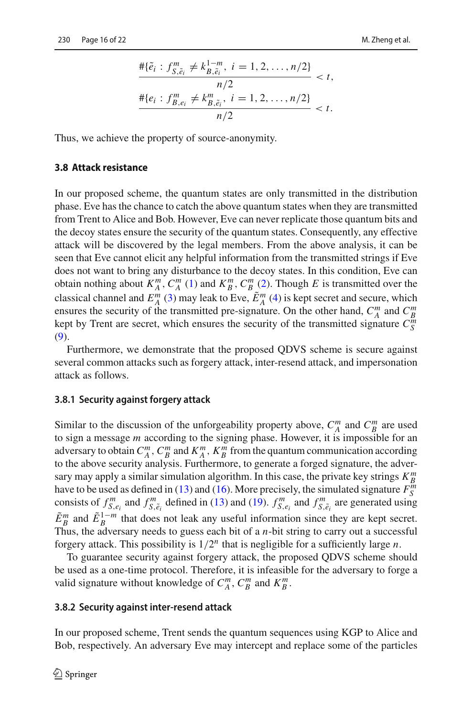$$
\frac{\# \{\tilde{e}_i : f_{S, \tilde{e}_i}^m \neq k_{B, \tilde{e}_i}^{1-m}, i = 1, 2, \dots, n/2\}}{n/2} < t,
$$
  

$$
\frac{\# \{e_i : f_{B, e_i}^m \neq k_{B, \tilde{e}_i}^m, i = 1, 2, \dots, n/2\}}{n/2} < t.
$$

Thus, we achieve the property of source-anonymity.

### **3.8 Attack resistance**

In our proposed scheme, the quantum states are only transmitted in the distribution phase. Eve has the chance to catch the above quantum states when they are transmitted from Trent to Alice and Bob. However, Eve can never replicate those quantum bits and the decoy states ensure the security of the quantum states. Consequently, any effective attack will be discovered by the legal members. From the above analysis, it can be seen that Eve cannot elicit any helpful information from the transmitted strings if Eve does not want to bring any disturbance to the decoy states. In this condition, Eve can obtain nothing about  $K_A^m$ ,  $C_A^m$  [\(1\)](#page-4-0) and  $K_B^m$ ,  $C_B^m$  [\(2\)](#page-4-1). Though *E* is transmitted over the classical channel and  $E_A^m$  [\(3\)](#page-5-4) may leak to Eve,  $\tilde{E}_A^m$  [\(4\)](#page-5-2) is kept secret and secure, which ensures the security of the transmitted pre-signature. On the other hand,  $C_A^m$  and  $C_B^m$ kept by Trent are secret, which ensures the security of the transmitted signature  $C^m_S$ [\(9\)](#page-6-3).

Furthermore, we demonstrate that the proposed QDVS scheme is secure against several common attacks such as forgery attack, inter-resend attack, and impersonation attack as follows.

#### **3.8.1 Security against forgery attack**

Similar to the discussion of the unforgeability property above,  $C_A^m$  and  $C_B^m$  are used to sign a message *m* according to the signing phase. However, it is impossible for an adversary to obtain  $C_A^m$ ,  $C_B^m$  and  $K_A^m$ ,  $K_B^m$  from the quantum communication according to the above security analysis. Furthermore, to generate a forged signature, the adversary may apply a similar simulation algorithm. In this case, the private key strings *K <sup>m</sup> B* have to be used as defined in [\(13\)](#page-7-0) and [\(16\)](#page-7-3). More precisely, the simulated signature  $F_S^m$ consists of  $f_{S, e_i}^m$  and  $f_{S, \tilde{e}_i}^m$  defined in [\(13\)](#page-7-0) and [\(19\)](#page-7-4).  $f_{S, e_i}^m$  and  $f_{S, \tilde{e}_i}^m$  are generated using  $\tilde{E}_B^m$  and  $\tilde{E}_B^{1-m}$  that does not leak any useful information since they are kept secret. Thus, the adversary needs to guess each bit of a *n*-bit string to carry out a successful forgery attack. This possibility is 1/2*<sup>n</sup>* that is negligible for a sufficiently large *n*.

To guarantee security against forgery attack, the proposed QDVS scheme should be used as a one-time protocol. Therefore, it is infeasible for the adversary to forge a valid signature without knowledge of  $C_A^m$ ,  $C_B^m$  and  $K_B^m$ .

### **3.8.2 Security against inter-resend attack**

In our proposed scheme, Trent sends the quantum sequences using KGP to Alice and Bob, respectively. An adversary Eve may intercept and replace some of the particles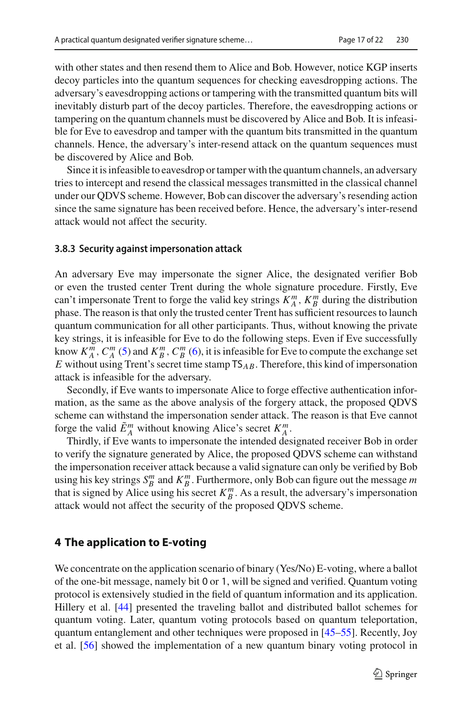with other states and then resend them to Alice and Bob. However, notice KGP inserts decoy particles into the quantum sequences for checking eavesdropping actions. The adversary's eavesdropping actions or tampering with the transmitted quantum bits will inevitably disturb part of the decoy particles. Therefore, the eavesdropping actions or tampering on the quantum channels must be discovered by Alice and Bob. It is infeasible for Eve to eavesdrop and tamper with the quantum bits transmitted in the quantum channels. Hence, the adversary's inter-resend attack on the quantum sequences must be discovered by Alice and Bob.

Since it is infeasible to eavesdrop or tamper with the quantum channels, an adversary tries to intercept and resend the classical messages transmitted in the classical channel under our QDVS scheme. However, Bob can discover the adversary's resending action since the same signature has been received before. Hence, the adversary's inter-resend attack would not affect the security.

#### **3.8.3 Security against impersonation attack**

An adversary Eve may impersonate the signer Alice, the designated verifier Bob or even the trusted center Trent during the whole signature procedure. Firstly, Eve can't impersonate Trent to forge the valid key strings  $K_A^m$ ,  $K_B^m$  during the distribution phase. The reason is that only the trusted center Trent has sufficient resources to launch quantum communication for all other participants. Thus, without knowing the private key strings, it is infeasible for Eve to do the following steps. Even if Eve successfully know  $K_A^m$ ,  $C_A^m$  [\(5\)](#page-5-0) and  $K_B^m$ ,  $C_B^m$  [\(6\)](#page-5-1), it is infeasible for Eve to compute the exchange set *E* without using Trent's secret time stamp  $TS_{AB}$ . Therefore, this kind of impersonation attack is infeasible for the adversary.

Secondly, if Eve wants to impersonate Alice to forge effective authentication information, as the same as the above analysis of the forgery attack, the proposed QDVS scheme can withstand the impersonation sender attack. The reason is that Eve cannot forge the valid  $\tilde{E}_A^m$  without knowing Alice's secret  $K_A^m$ .

Thirdly, if Eve wants to impersonate the intended designated receiver Bob in order to verify the signature generated by Alice, the proposed QDVS scheme can withstand the impersonation receiver attack because a valid signature can only be verified by Bob using his key strings  $S_B^m$  and  $K_B^m$ . Furthermore, only Bob can figure out the message *m* that is signed by Alice using his secret  $K_{B}^{m}$ . As a result, the adversary's impersonation attack would not affect the security of the proposed QDVS scheme.

# <span id="page-16-0"></span>**4 The application to E-voting**

We concentrate on the application scenario of binary (Yes/No) E-voting, where a ballot of the one-bit message, namely bit 0 or 1, will be signed and verified. Quantum voting protocol is extensively studied in the field of quantum information and its application. Hillery et al. [\[44\]](#page-21-4) presented the traveling ballot and distributed ballot schemes for quantum voting. Later, quantum voting protocols based on quantum teleportation, quantum entanglement and other techniques were proposed in [\[45](#page-21-5)[–55\]](#page-21-6). Recently, Joy et al. [\[56\]](#page-21-7) showed the implementation of a new quantum binary voting protocol in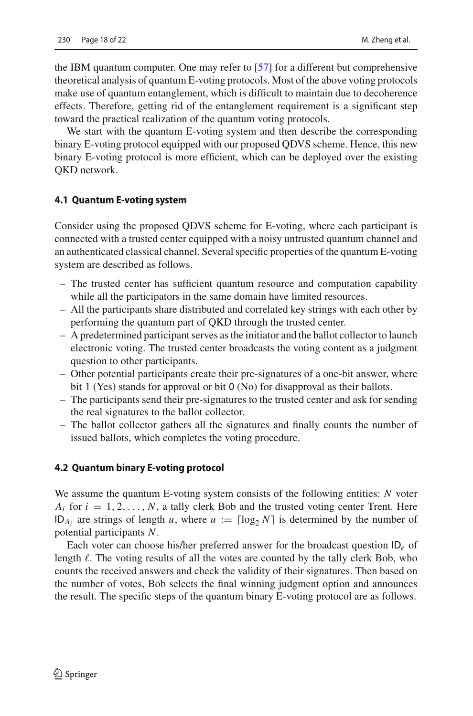the IBM quantum computer. One may refer to [\[57\]](#page-21-8) for a different but comprehensive theoretical analysis of quantum E-voting protocols. Most of the above voting protocols make use of quantum entanglement, which is difficult to maintain due to decoherence effects. Therefore, getting rid of the entanglement requirement is a significant step toward the practical realization of the quantum voting protocols.

We start with the quantum E-voting system and then describe the corresponding binary E-voting protocol equipped with our proposed QDVS scheme. Hence, this new binary E-voting protocol is more efficient, which can be deployed over the existing QKD network.

#### **4.1 Quantum E-voting system**

Consider using the proposed QDVS scheme for E-voting, where each participant is connected with a trusted center equipped with a noisy untrusted quantum channel and an authenticated classical channel. Several specific properties of the quantum E-voting system are described as follows.

- The trusted center has sufficient quantum resource and computation capability while all the participators in the same domain have limited resources.
- All the participants share distributed and correlated key strings with each other by performing the quantum part of QKD through the trusted center.
- A predetermined participant serves as the initiator and the ballot collector to launch electronic voting. The trusted center broadcasts the voting content as a judgment question to other participants.
- Other potential participants create their pre-signatures of a one-bit answer, where bit 1 (Yes) stands for approval or bit 0 (No) for disapproval as their ballots.
- The participants send their pre-signatures to the trusted center and ask for sending the real signatures to the ballot collector.
- The ballot collector gathers all the signatures and finally counts the number of issued ballots, which completes the voting procedure.

#### **4.2 Quantum binary E-voting protocol**

We assume the quantum E-voting system consists of the following entities: *N* voter  $A_i$  for  $i = 1, 2, \ldots, N$ , a tally clerk Bob and the trusted voting center Trent. Here ID<sub>A<sub>i</sub></sub> are strings of length *u*, where  $u := \lceil \log_2 N \rceil$  is determined by the number of potential participants *N*.

Each voter can choose his/her preferred answer for the broadcast question ID*<sup>e</sup>* of length  $\ell$ . The voting results of all the votes are counted by the tally clerk Bob, who counts the received answers and check the validity of their signatures. Then based on the number of votes, Bob selects the final winning judgment option and announces the result. The specific steps of the quantum binary E-voting protocol are as follows.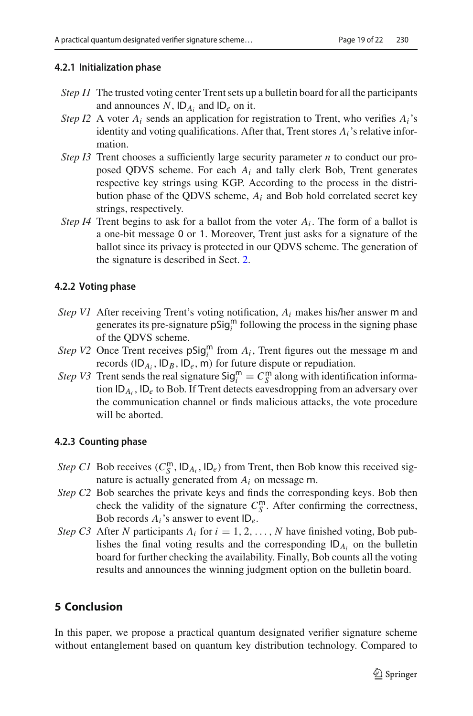# **4.2.1 Initialization phase**

- *Step I1* The trusted voting center Trent sets up a bulletin board for all the participants and announces  $N$ ,  $ID_{A_i}$  and  $ID_e$  on it.
- *Step I2* A voter  $A_i$  sends an application for registration to Trent, who verifies  $A_i$ 's identity and voting qualifications. After that, Trent stores *Ai*'s relative information.
- *Step I3* Trent chooses a sufficiently large security parameter *n* to conduct our proposed QDVS scheme. For each *Ai* and tally clerk Bob, Trent generates respective key strings using KGP. According to the process in the distribution phase of the QDVS scheme, *Ai* and Bob hold correlated secret key strings, respectively.
- *Step I4* Trent begins to ask for a ballot from the voter  $A_i$ . The form of a ballot is a one-bit message 0 or 1. Moreover, Trent just asks for a signature of the ballot since its privacy is protected in our QDVS scheme. The generation of the signature is described in Sect. [2.](#page-2-0)

# **4.2.2 Voting phase**

- *Step V1* After receiving Trent's voting notification, *Ai* makes his/her answer <sup>m</sup> and generates its pre-signature  $pSig_i^m$  following the process in the signing phase of the ODVS scheme of the QDVS scheme.
- *Step V2* Once Trent receives  $\pi$   $\sigma$  *i* from *A<sub>i</sub>*, Trent figures out the message m and records (ID  $\mu$  ID  $\mu$  ID  $\mu$ ) for future dispute or repudiation records  $(ID_{A_i}, ID_B, ID_e, m)$  for future dispute or repudiation.
- *Step V3* Trent sends the real signature  $\text{Sig}_i^{\text{in}} = C_S^{\text{in}}$  along with identification information  $D_A$  in  $D_A$  to Bob If Trent detects eavesdropping from an adversary over tion ID*Ai*, ID*<sup>e</sup>* to Bob. If Trent detects eavesdropping from an adversary over the communication channel or finds malicious attacks, the vote procedure will be aborted.

# **4.2.3 Counting phase**

- *Step C1* Bob receives  $(C_{\text{S}}^{\text{m}}, \text{ID}_{A_i}, \text{ID}_e)$  from Trent, then Bob know this received signature is actually generated from  $A_i$  on message m nature is actually generated from *Ai* on message <sup>m</sup>.
- *Step C2* Bob searches the private keys and finds the corresponding keys. Bob then check the validity of the signature  $C_S^m$ . After confirming the correctness, Bob records *Ai*'s answer to event ID*e*.
- *Step C3* After *N* participants  $A_i$  for  $i = 1, 2, ..., N$  have finished voting, Bob publishes the final voting results and the corresponding ID*Ai* on the bulletin board for further checking the availability. Finally, Bob counts all the voting results and announces the winning judgment option on the bulletin board.

# <span id="page-18-0"></span>**5 Conclusion**

In this paper, we propose a practical quantum designated verifier signature scheme without entanglement based on quantum key distribution technology. Compared to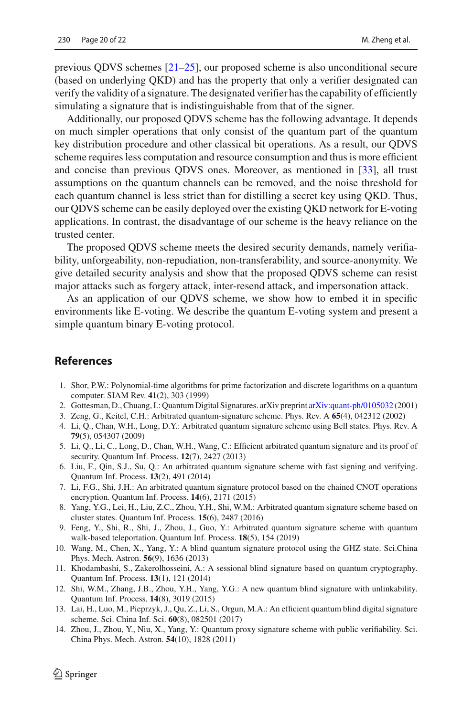previous QDVS schemes [\[21](#page-20-5)[–25](#page-20-9)], our proposed scheme is also unconditional secure (based on underlying QKD) and has the property that only a verifier designated can verify the validity of a signature. The designated verifier has the capability of efficiently simulating a signature that is indistinguishable from that of the signer.

Additionally, our proposed QDVS scheme has the following advantage. It depends on much simpler operations that only consist of the quantum part of the quantum key distribution procedure and other classical bit operations. As a result, our QDVS scheme requires less computation and resource consumption and thus is more efficient and concise than previous QDVS ones. Moreover, as mentioned in [\[33](#page-20-15)], all trust assumptions on the quantum channels can be removed, and the noise threshold for each quantum channel is less strict than for distilling a secret key using QKD. Thus, our QDVS scheme can be easily deployed over the existing QKD network for E-voting applications. In contrast, the disadvantage of our scheme is the heavy reliance on the trusted center.

The proposed QDVS scheme meets the desired security demands, namely verifiability, unforgeability, non-repudiation, non-transferability, and source-anonymity. We give detailed security analysis and show that the proposed QDVS scheme can resist major attacks such as forgery attack, inter-resend attack, and impersonation attack.

As an application of our QDVS scheme, we show how to embed it in specific environments like E-voting. We describe the quantum E-voting system and present a simple quantum binary E-voting protocol.

# **References**

- <span id="page-19-0"></span>1. Shor, P.W.: Polynomial-time algorithms for prime factorization and discrete logarithms on a quantum computer. SIAM Rev. **41**(2), 303 (1999)
- <span id="page-19-1"></span>2. Gottesman, D., Chuang, I.: Quantum Digital Signatures. arXiv preprint [arXiv:quant-ph/0105032](http://arxiv.org/abs/quant-ph/0105032) (2001)
- <span id="page-19-2"></span>3. Zeng, G., Keitel, C.H.: Arbitrated quantum-signature scheme. Phys. Rev. A **65**(4), 042312 (2002)
- 4. Li, Q., Chan, W.H., Long, D.Y.: Arbitrated quantum signature scheme using Bell states. Phys. Rev. A **79**(5), 054307 (2009)
- 5. Li, Q., Li, C., Long, D., Chan, W.H., Wang, C.: Efficient arbitrated quantum signature and its proof of security. Quantum Inf. Process. **12**(7), 2427 (2013)
- 6. Liu, F., Qin, S.J., Su, Q.: An arbitrated quantum signature scheme with fast signing and verifying. Quantum Inf. Process. **13**(2), 491 (2014)
- 7. Li, F.G., Shi, J.H.: An arbitrated quantum signature protocol based on the chained CNOT operations encryption. Quantum Inf. Process. **14**(6), 2171 (2015)
- 8. Yang, Y.G., Lei, H., Liu, Z.C., Zhou, Y.H., Shi, W.M.: Arbitrated quantum signature scheme based on cluster states. Quantum Inf. Process. **15**(6), 2487 (2016)
- <span id="page-19-3"></span>9. Feng, Y., Shi, R., Shi, J., Zhou, J., Guo, Y.: Arbitrated quantum signature scheme with quantum walk-based teleportation. Quantum Inf. Process. **18**(5), 154 (2019)
- <span id="page-19-4"></span>10. Wang, M., Chen, X., Yang, Y.: A blind quantum signature protocol using the GHZ state. Sci.China Phys. Mech. Astron. **56**(9), 1636 (2013)
- 11. Khodambashi, S., Zakerolhosseini, A.: A sessional blind signature based on quantum cryptography. Quantum Inf. Process. **13**(1), 121 (2014)
- 12. Shi, W.M., Zhang, J.B., Zhou, Y.H., Yang, Y.G.: A new quantum blind signature with unlinkability. Quantum Inf. Process. **14**(8), 3019 (2015)
- <span id="page-19-5"></span>13. Lai, H., Luo, M., Pieprzyk, J., Qu, Z., Li, S., Orgun, M.A.: An efficient quantum blind digital signature scheme. Sci. China Inf. Sci. **60**(8), 082501 (2017)
- <span id="page-19-6"></span>14. Zhou, J., Zhou, Y., Niu, X., Yang, Y.: Quantum proxy signature scheme with public verifiability. Sci. China Phys. Mech. Astron. **54**(10), 1828 (2011)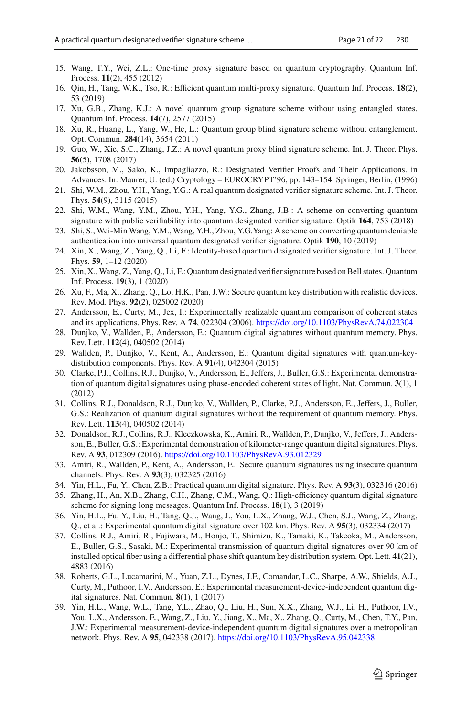- 15. Wang, T.Y., Wei, Z.L.: One-time proxy signature based on quantum cryptography. Quantum Inf. Process. **11**(2), 455 (2012)
- <span id="page-20-0"></span>16. Qin, H., Tang, W.K., Tso, R.: Efficient quantum multi-proxy signature. Quantum Inf. Process. **18**(2), 53 (2019)
- <span id="page-20-1"></span>17. Xu, G.B., Zhang, K.J.: A novel quantum group signature scheme without using entangled states. Quantum Inf. Process. **14**(7), 2577 (2015)
- <span id="page-20-2"></span>18. Xu, R., Huang, L., Yang, W., He, L.: Quantum group blind signature scheme without entanglement. Opt. Commun. **284**(14), 3654 (2011)
- <span id="page-20-3"></span>19. Guo, W., Xie, S.C., Zhang, J.Z.: A novel quantum proxy blind signature scheme. Int. J. Theor. Phys. **56**(5), 1708 (2017)
- <span id="page-20-4"></span>20. Jakobsson, M., Sako, K., Impagliazzo, R.: Designated Verifier Proofs and Their Applications. in Advances. In: Maurer, U. (ed.) Cryptology – EUROCRYPT'96, pp. 143–154. Springer, Berlin, (1996)
- <span id="page-20-5"></span>21. Shi, W.M., Zhou, Y.H., Yang, Y.G.: A real quantum designated verifier signature scheme. Int. J. Theor. Phys. **54**(9), 3115 (2015)
- <span id="page-20-6"></span>22. Shi, W.M., Wang, Y.M., Zhou, Y.H., Yang, Y.G., Zhang, J.B.: A scheme on converting quantum signature with public verifiability into quantum designated verifier signature. Optik **164**, 753 (2018)
- <span id="page-20-7"></span>23. Shi, S., Wei-Min Wang, Y.M., Wang, Y.H., Zhou, Y.G.Yang: A scheme on converting quantum deniable authentication into universal quantum designated verifier signature. Optik **190**, 10 (2019)
- <span id="page-20-8"></span>24. Xin, X., Wang, Z., Yang, Q., Li, F.: Identity-based quantum designated verifier signature. Int. J. Theor. Phys. **59**, 1–12 (2020)
- <span id="page-20-9"></span>25. Xin, X.,Wang, Z., Yang, Q., Li, F.: Quantum designated verifier signature based on Bell states. Quantum Inf. Process. **19**(3), 1 (2020)
- <span id="page-20-10"></span>26. Xu, F., Ma, X., Zhang, Q., Lo, H.K., Pan, J.W.: Secure quantum key distribution with realistic devices. Rev. Mod. Phys. **92**(2), 025002 (2020)
- <span id="page-20-11"></span>27. Andersson, E., Curty, M., Jex, I.: Experimentally realizable quantum comparison of coherent states and its applications. Phys. Rev. A **74**, 022304 (2006). <https://doi.org/10.1103/PhysRevA.74.022304>
- 28. Dunjko, V., Wallden, P., Andersson, E.: Quantum digital signatures without quantum memory. Phys. Rev. Lett. **112**(4), 040502 (2014)
- <span id="page-20-12"></span>29. Wallden, P., Dunjko, V., Kent, A., Andersson, E.: Quantum digital signatures with quantum-keydistribution components. Phys. Rev. A **91**(4), 042304 (2015)
- <span id="page-20-13"></span>30. Clarke, P.J., Collins, R.J., Dunjko, V., Andersson, E., Jeffers, J., Buller, G.S.: Experimental demonstration of quantum digital signatures using phase-encoded coherent states of light. Nat. Commun. **3**(1), 1 (2012)
- 31. Collins, R.J., Donaldson, R.J., Dunjko, V., Wallden, P., Clarke, P.J., Andersson, E., Jeffers, J., Buller, G.S.: Realization of quantum digital signatures without the requirement of quantum memory. Phys. Rev. Lett. **113**(4), 040502 (2014)
- <span id="page-20-14"></span>32. Donaldson, R.J., Collins, R.J., Kleczkowska, K., Amiri, R., Wallden, P., Dunjko, V., Jeffers, J., Andersson, E., Buller, G.S.: Experimental demonstration of kilometer-range quantum digital signatures. Phys. Rev. A **93**, 012309 (2016). <https://doi.org/10.1103/PhysRevA.93.012329>
- <span id="page-20-15"></span>33. Amiri, R., Wallden, P., Kent, A., Andersson, E.: Secure quantum signatures using insecure quantum channels. Phys. Rev. A **93**(3), 032325 (2016)
- 34. Yin, H.L., Fu, Y., Chen, Z.B.: Practical quantum digital signature. Phys. Rev. A **93**(3), 032316 (2016)
- <span id="page-20-16"></span>35. Zhang, H., An, X.B., Zhang, C.H., Zhang, C.M., Wang, Q.: High-efficiency quantum digital signature scheme for signing long messages. Quantum Inf. Process. **18**(1), 3 (2019)
- <span id="page-20-17"></span>36. Yin, H.L., Fu, Y., Liu, H., Tang, Q.J., Wang, J., You, L.X., Zhang, W.J., Chen, S.J., Wang, Z., Zhang, Q., et al.: Experimental quantum digital signature over 102 km. Phys. Rev. A **95**(3), 032334 (2017)
- <span id="page-20-18"></span>37. Collins, R.J., Amiri, R., Fujiwara, M., Honjo, T., Shimizu, K., Tamaki, K., Takeoka, M., Andersson, E., Buller, G.S., Sasaki, M.: Experimental transmission of quantum digital signatures over 90 km of installed optical fiber using a differential phase shift quantum key distribution system. Opt. Lett. **41**(21), 4883 (2016)
- <span id="page-20-19"></span>38. Roberts, G.L., Lucamarini, M., Yuan, Z.L., Dynes, J.F., Comandar, L.C., Sharpe, A.W., Shields, A.J., Curty, M., Puthoor, I.V., Andersson, E.: Experimental measurement-device-independent quantum digital signatures. Nat. Commun. **8**(1), 1 (2017)
- <span id="page-20-20"></span>39. Yin, H.L., Wang, W.L., Tang, Y.L., Zhao, Q., Liu, H., Sun, X.X., Zhang, W.J., Li, H., Puthoor, I.V., You, L.X., Andersson, E., Wang, Z., Liu, Y., Jiang, X., Ma, X., Zhang, Q., Curty, M., Chen, T.Y., Pan, J.W.: Experimental measurement-device-independent quantum digital signatures over a metropolitan network. Phys. Rev. A **95**, 042338 (2017). <https://doi.org/10.1103/PhysRevA.95.042338>